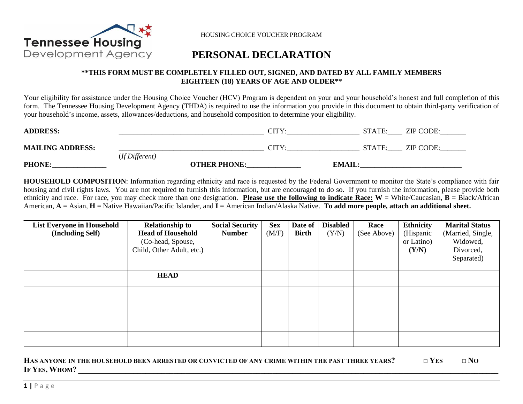

HOUSING CHOICE VOUCHER PROGRAM

# **PERSONAL DECLARATION**

## **\*\*THIS FORM MUST BE COMPLETELY FILLED OUT, SIGNED, AND DATED BY ALL FAMILY MEMBERS EIGHTEEN (18) YEARS OF AGE AND OLDER\*\***

Your eligibility for assistance under the Housing Choice Voucher (HCV) Program is dependent on your and your household's honest and full completion of this form. The Tennessee Housing Development Agency (THDA) is required to use the information you provide in this document to obtain third-party verification of your household's income, assets, allowances/deductions, and household composition to determine your eligibility.

| <b>ADDRESS:</b>         |                |                     | CITY:                        | STATE:        | ZIP CODE: |
|-------------------------|----------------|---------------------|------------------------------|---------------|-----------|
| <b>MAILING ADDRESS:</b> | (If Different) |                     | $\mathop{\rm CITY}\nolimits$ | STATE:        | ZIP CODE: |
| <b>PHONE:</b>           |                | <b>OTHER PHONE:</b> |                              | <b>EMAIL:</b> |           |

**HOUSEHOLD COMPOSITION**: Information regarding ethnicity and race is requested by the Federal Government to monitor the State's compliance with fair housing and civil rights laws. You are not required to furnish this information, but are encouraged to do so. If you furnish the information, please provide both ethnicity and race. For race, you may check more than one designation. **Please use the following to indicate Race:**  $W =$  White/Caucasian,  $B =$  Black/African American, **A** = Asian, **H** = Native Hawaiian/Pacific Islander, and **I** = American Indian/Alaska Native. **To add more people, attach an additional sheet.** 

| <b>List Everyone in Household</b><br>(Including Self) | <b>Relationship to</b><br><b>Head of Household</b><br>(Co-head, Spouse,<br>Child, Other Adult, etc.) | <b>Social Security</b><br><b>Number</b> | <b>Sex</b><br>(M/F) | Date of<br><b>Birth</b> | <b>Disabled</b><br>(Y/N) | Race<br>(See Above) | <b>Ethnicity</b><br>(Hispanic<br>or Latino)<br>(Y/N) | <b>Marital Status</b><br>(Married, Single,<br>Widowed,<br>Divorced,<br>Separated) |
|-------------------------------------------------------|------------------------------------------------------------------------------------------------------|-----------------------------------------|---------------------|-------------------------|--------------------------|---------------------|------------------------------------------------------|-----------------------------------------------------------------------------------|
|                                                       | <b>HEAD</b>                                                                                          |                                         |                     |                         |                          |                     |                                                      |                                                                                   |
|                                                       |                                                                                                      |                                         |                     |                         |                          |                     |                                                      |                                                                                   |
|                                                       |                                                                                                      |                                         |                     |                         |                          |                     |                                                      |                                                                                   |
|                                                       |                                                                                                      |                                         |                     |                         |                          |                     |                                                      |                                                                                   |
|                                                       |                                                                                                      |                                         |                     |                         |                          |                     |                                                      |                                                                                   |

| HAS ANYONE IN THE HOUSEHOLD BEEN ARRESTED OR CONVICTED OF ANY CRIME WITHIN THE PAST THREE YEARS? | $\Box$ Yes | $\Box$ NO |
|--------------------------------------------------------------------------------------------------|------------|-----------|
| IF YES, WHOM?                                                                                    |            |           |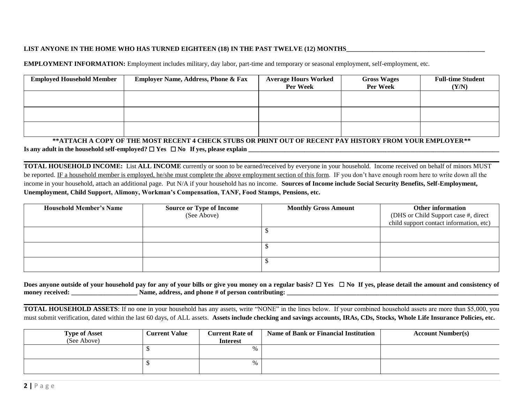### LIST ANYONE IN THE HOME WHO HAS TURNED EIGHTEEN (18) IN THE PAST TWELVE (12) MONTHS\_

**EMPLOYMENT INFORMATION:** Employment includes military, day labor, part-time and temporary or seasonal employment, self-employment, etc.

| <b>Employed Household Member</b> | <b>Employer Name, Address, Phone &amp; Fax</b> | <b>Average Hours Worked</b><br><b>Per Week</b> | <b>Gross Wages</b><br><b>Per Week</b> | <b>Full-time Student</b><br>(Y/N) |
|----------------------------------|------------------------------------------------|------------------------------------------------|---------------------------------------|-----------------------------------|
|                                  |                                                |                                                |                                       |                                   |
|                                  |                                                |                                                |                                       |                                   |
|                                  |                                                |                                                |                                       |                                   |

## **\*\*ATTACH A COPY OF THE MOST RECENT 4 CHECK STUBS OR PRINT OUT OF RECENT PAY HISTORY FROM YOUR EMPLOYER\*\* Is any adult in the household self-employed?** ☐ **Yes** ☐ **No If yes, please explain \_\_\_\_\_\_\_\_\_\_\_\_\_\_\_\_\_\_\_\_\_\_\_\_\_\_\_\_\_\_\_\_\_\_\_\_\_\_\_\_\_\_\_\_\_\_\_\_\_\_\_\_\_\_\_\_\_\_\_\_\_\_\_\_\_\_\_\_\_\_\_\_\_\_\_\_**

**TOTAL HOUSEHOLD INCOME:** List **ALL INCOME** currently or soon to be earned/received by everyone in your household. Income received on behalf of minors MUST be reported. IF a household member is employed, he/she must complete the above employment section of this form. IF you don't have enough room here to write down all the income in your household, attach an additional page. Put N/A if your household has no income. **Sources of Income include Social Security Benefits, Self-Employment, Unemployment, Child Support, Alimony, Workman's Compensation, TANF, Food Stamps, Pensions, etc.**

| <b>Household Member's Name</b> | <b>Source or Type of Income</b> | <b>Monthly Gross Amount</b> | Other information                       |
|--------------------------------|---------------------------------|-----------------------------|-----------------------------------------|
|                                | (See Above)                     |                             | (DHS or Child Support case #, direct    |
|                                |                                 |                             | child support contact information, etc) |
|                                |                                 |                             |                                         |
|                                |                                 |                             |                                         |
|                                |                                 |                             |                                         |
|                                |                                 |                             |                                         |
|                                |                                 |                             |                                         |
|                                |                                 |                             |                                         |

|                 | Does anyone outside of your household pay for any of your bills or give you money on a regular basis? $\Box$ Yes $\Box$ No If yes, please detail the amount and consistency of |  |
|-----------------|--------------------------------------------------------------------------------------------------------------------------------------------------------------------------------|--|
| money received: | Name, address, and phone # of person contributing:                                                                                                                             |  |

**TOTAL HOUSEHOLD ASSETS**: If no one in your household has any assets, write "NONE" in the lines below. If your combined household assets are more than \$5,000, you must submit verification, dated within the last 60 days, of ALL assets. **Assets include checking and savings accounts, IRAs, CDs, Stocks, Whole Life Insurance Policies, etc.**

| <b>Type of Asset</b><br>(See Above) | <b>Current Value</b> | <b>Current Rate of</b><br><b>Interest</b> | <b>Name of Bank or Financial Institution</b> | <b>Account Number(s)</b> |
|-------------------------------------|----------------------|-------------------------------------------|----------------------------------------------|--------------------------|
|                                     |                      | %                                         |                                              |                          |
|                                     |                      | %                                         |                                              |                          |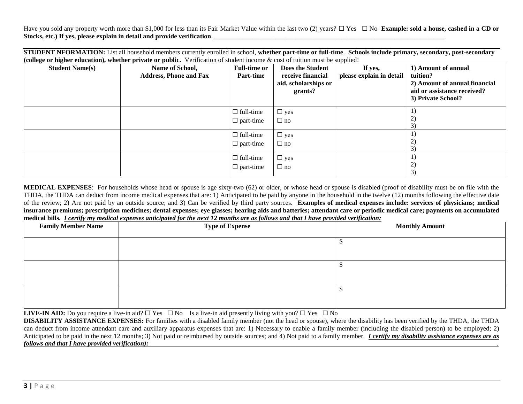Have you sold any property worth more than \$1,000 for less than its Fair Market Value within the last two (2) years? □ Yes □ No **Example: sold a house, cashed in a CD or** Stocks, etc.) If yes, please explain in detail and provide verification

**STUDENT NFORMATION:** List all household members currently enrolled in school, **whether part-time or full-time**. **Schools include primary, secondary, post-secondary (college or higher education), whether private or public.** Verification of student income & cost of tuition must be supplied!

| <b>Student Name(s)</b> | Name of School,<br><b>Address, Phone and Fax</b> | <b>Full-time or</b><br><b>Part-time</b> | <b>Does the Student</b><br>receive financial<br>aid, scholarships or<br>grants? | . .<br>If yes,<br>please explain in detail | 1) Amount of annual<br>tuition?<br>2) Amount of annual financial<br>aid or assistance received?<br>3) Private School? |
|------------------------|--------------------------------------------------|-----------------------------------------|---------------------------------------------------------------------------------|--------------------------------------------|-----------------------------------------------------------------------------------------------------------------------|
|                        |                                                  | $\Box$ full-time<br>$\Box$ part-time    | $\Box$ yes<br>$\Box$ no                                                         |                                            | 2)<br>3)                                                                                                              |
|                        |                                                  | $\Box$ full-time<br>$\Box$ part-time    | $\square$ yes<br>$\Box$ no                                                      |                                            | 2)<br>3)                                                                                                              |
|                        |                                                  | $\Box$ full-time<br>$\Box$ part-time    | $\Box$ yes<br>$\Box$ no                                                         |                                            | 1)<br>2)<br>3)                                                                                                        |

**MEDICAL EXPENSES**: For households whose head or spouse is age sixty-two (62) or older, or whose head or spouse is disabled (proof of disability must be on file with the THDA, the THDA can deduct from income medical expenses that are: 1) Anticipated to be paid by anyone in the household in the twelve (12) months following the effective date of the review; 2) Are not paid by an outside source; and 3) Can be verified by third party sources. **Examples of medical expenses include: services of physicians; medical insurance premiums; prescription medicines; dental expenses; eye glasses; hearing aids and batteries; attendant care or periodic medical care; payments on accumulated medical bills.** *I certify my medical expenses anticipated for the next 12 months are as follows and that I have provided verification:*

| <b>Family Member Name</b> | <b>Type of Expense</b> | <b>Monthly Amount</b> |
|---------------------------|------------------------|-----------------------|
|                           |                        |                       |
|                           |                        |                       |
|                           |                        |                       |
|                           |                        |                       |
|                           |                        |                       |
|                           |                        |                       |

**LIVE-IN AID:** Do you require a live-in aid? □ Yes □ No Is a live-in aid presently living with you? □ Yes □ No

**DISABILITY ASSISTANCE EXPENSES:** For families with a disabled family member (not the head or spouse), where the disability has been verified by the THDA, the THDA can deduct from income attendant care and auxiliary apparatus expenses that are: 1) Necessary to enable a family member (including the disabled person) to be employed; 2) Anticipated to be paid in the next 12 months; 3) Not paid or reimbursed by outside sources; and 4) Not paid to a family member. *I certify my disability assistance expenses are as follows and that I have provided verification): .*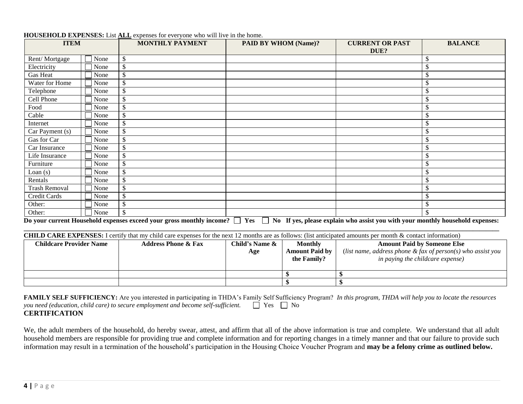| <b>ITEM</b>          |      | <b>MONTHLY PAYMENT</b> | <b>PAID BY WHOM (Name)?</b> | <b>CURRENT OR PAST</b> | <b>BALANCE</b>            |
|----------------------|------|------------------------|-----------------------------|------------------------|---------------------------|
|                      |      |                        |                             | DUE?                   |                           |
| Rent/Mortgage        | None | \$                     |                             |                        | \$                        |
| Electricity          | None | \$                     |                             |                        | $\mathcal{S}$             |
| Gas Heat             | None | $\mathbb{S}$           |                             |                        | $\mathcal{S}$             |
| Water for Home       | None | \$                     |                             |                        | $\boldsymbol{\mathsf{S}}$ |
| Telephone            | None | $\mathcal{S}$          |                             |                        | $\boldsymbol{\mathsf{S}}$ |
| Cell Phone           | None | \$                     |                             |                        | $\mathcal{S}$             |
| Food                 | None | $\mathbb{S}$           |                             |                        | \$                        |
| Cable                | None | $\mathcal{S}$          |                             |                        | $\mathcal{S}$             |
| Internet             | None | $\mathcal{L}$          |                             |                        | $\boldsymbol{\mathsf{S}}$ |
| Car Payment (s)      | None | \$                     |                             |                        | \$                        |
| Gas for Car          | None | \$                     |                             |                        | $\boldsymbol{\mathsf{S}}$ |
| Car Insurance        | None | \$                     |                             |                        | $\mathcal{S}$             |
| Life Insurance       | None | \$                     |                             |                        | $\boldsymbol{\mathsf{S}}$ |
| Furniture            | None | $\mathcal{S}$          |                             |                        | $\boldsymbol{\mathsf{S}}$ |
| Loan $(s)$           | None | \$                     |                             |                        | $\boldsymbol{\mathsf{S}}$ |
| Rentals              | None | $\mathcal{S}$          |                             |                        | $\mathcal{S}$             |
| <b>Trash Removal</b> | None | $\mathcal{S}$          |                             |                        | $\boldsymbol{\mathsf{S}}$ |
| Credit Cards         | None | \$                     |                             |                        | \$                        |
| Other:               | None | $\mathbb{S}$           |                             |                        | $\boldsymbol{\mathsf{S}}$ |
| Other:               | None | $\mathcal{S}$          |                             |                        | \$                        |

### **HOUSEHOLD EXPENSES:** List **ALL** expenses for everyone who will live in the home.

Do your current Household expenses exceed your gross monthly income?  $\Box$  Yes  $\Box$  No If yes, please explain who assist you with your monthly household expenses: **\_\_\_\_\_\_\_\_\_\_\_\_\_\_\_\_\_\_\_\_\_\_\_\_\_\_\_\_\_\_\_\_\_\_\_\_\_\_\_\_\_\_\_\_\_\_\_\_\_\_\_\_\_\_\_\_\_\_\_\_\_\_\_\_\_\_\_\_\_\_\_\_\_\_\_\_\_\_\_\_\_\_\_\_\_\_\_\_\_\_\_\_\_\_\_\_\_\_\_\_\_\_\_\_\_\_\_\_\_\_\_\_\_\_\_\_\_\_\_\_\_\_\_\_\_\_\_\_\_\_\_\_\_\_\_\_\_\_\_\_\_\_\_\_**

**CHILD CARE EXPENSES:** I certify that my child care expenses for the next 12 months are as follows: (list anticipated amounts per month & contact information)

| <b>Childcare Provider Name</b> | <b>Address Phone &amp; Fax</b> | Child's Name &<br>Age | <b>Monthly</b><br><b>Amount Paid by</b><br>the Family? | <b>Amount Paid by Someone Else</b><br>(list name, address phone $\&$ fax of person(s) who assist you<br>in paying the childcare expense) |
|--------------------------------|--------------------------------|-----------------------|--------------------------------------------------------|------------------------------------------------------------------------------------------------------------------------------------------|
|                                |                                |                       |                                                        |                                                                                                                                          |
|                                |                                |                       |                                                        |                                                                                                                                          |

**FAMILY SELF SUFFICIENCY:** Are you interested in participating in THDA's Family Self Sufficiency Program? *In this program, THDA will help you to locate the resources you need (education, child care) to secure employment and become self-sufficient.*  $\Box$  Yes  $\Box$  No **CERTIFICATION**

We, the adult members of the household, do hereby swear, attest, and affirm that all of the above information is true and complete. We understand that all adult household members are responsible for providing true and complete information and for reporting changes in a timely manner and that our failure to provide such information may result in a termination of the household's participation in the Housing Choice Voucher Program and **may be a felony crime as outlined below.**